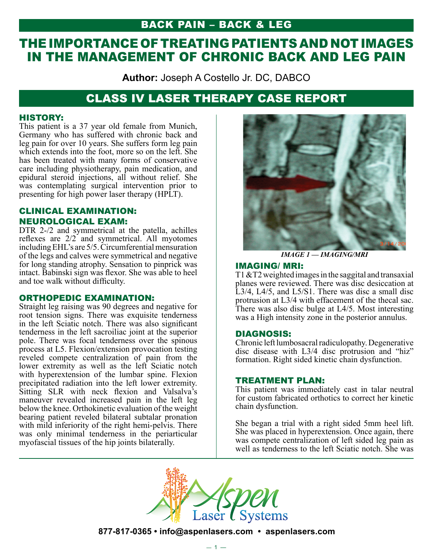## BACK PAIN – Back & Leg

# THE IMPORTANCE OF TREATING PATIENTS AND NOT IMAGES IN THE MANAGEMENT OF CHRONIC BACK AND LEG PAIN

**Author:** Joseph A Costello Jr. DC, DABCO

## CLASS IV LASER THERAPY CASE REPORT

## HISTORY:

This patient is a 37 year old female from Munich, Germany who has suffered with chronic back and leg pain for over 10 years. She suffers form leg pain which extends into the foot, more so on the left. She has been treated with many forms of conservative care including physiotherapy, pain medication, and epidural steroid injections, all without relief. She was contemplating surgical intervention prior to presenting for high power laser therapy (HPLT).

## CLINICAL EXAMINATION: NEUROLOGICAL EXAM:

DTR 2-/2 and symmetrical at the patella, achilles reflexes are 2/2 and symmetrical. All myotomes including EHL's are 5/5. Circumferential mensuration of the legs and calves were symmetrical and negative for long standing atrophy. Sensation to pinprick was intact. Babinski sign was flexor. She was able to heel and toe walk without difficulty.

### ORTHOPEDIC EXAMINATION:

Straight leg raising was 90 degrees and negative for root tension signs. There was exquisite tenderness in the left Sciatic notch. There was also significant tenderness in the left sacroiliac joint at the superior pole. There was focal tenderness over the spinous process at L5. Flexion/extension provocation testing reveled compete centralization of pain from the lower extremity as well as the left Sciatic notch with hyperextension of the lumbar spine. Flexion precipitated radiation into the left lower extremity. Sitting SLR with neck flexion and Valsalva's maneuver revealed increased pain in the left leg below the knee. Orthokinetic evaluation of the weight bearing patient reveled bilateral subtalar pronation with mild inferiority of the right hemi-pelvis. There was only minimal tenderness in the periarticular myofascial tissues of the hip joints bilaterally.



*IMAGE 1 — IMAGING/MRI*

#### IMAGING/ MRI:

T1 &T2 weighted images in the saggital and transaxial planes were reviewed. There was disc desiccation at L3/4, L4/5, and L5/S1. There was disc a small disc protrusion at L3/4 with effacement of the thecal sac. There was also disc bulge at L4/5. Most interesting was a High intensity zone in the posterior annulus.

## DIAGNOSIS:

Chronic left lumbosacral radiculopathy. Degenerative disc disease with L3/4 disc protrusion and "hiz" formation. Right sided kinetic chain dysfunction.

#### TREATMENT PLAN:

This patient was immediately cast in talar neutral for custom fabricated orthotics to correct her kinetic chain dysfunction.

She began a trial with a right sided 5mm heel lift. She was placed in hyperextension. Once again, there was compete centralization of left sided leg pain as well as tenderness to the left Sciatic notch. She was



**877-817-0365 • info@aspenlasers.com • aspenlasers.com**